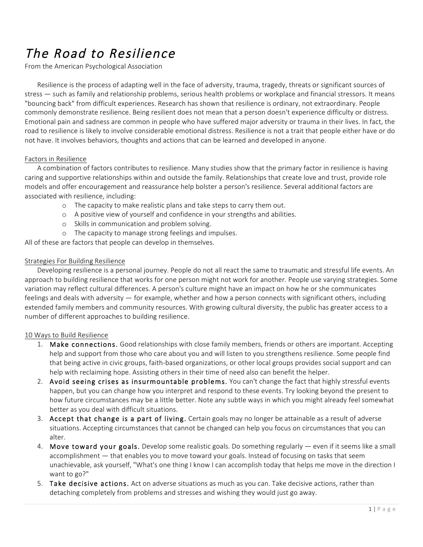# The Road to Resilience

From the American Psychological Association

Resilience is the process of adapting well in the face of adversity, trauma, tragedy, threats or significant sources of stress — such as family and relationship problems, serious health problems or workplace and financial stressors. It means "bouncing back" from difficult experiences. Research has shown that resilience is ordinary, not extraordinary. People commonly demonstrate resilience. Being resilient does not mean that a person doesn't experience difficulty or distress. Emotional pain and sadness are common in people who have suffered major adversity or trauma in their lives. In fact, the road to resilience is likely to involve considerable emotional distress. Resilience is not a trait that people either have or do not have. It involves behaviors, thoughts and actions that can be learned and developed in anyone.

### Factors in Resilience

A combination of factors contributes to resilience. Many studies show that the primary factor in resilience is having caring and supportive relationships within and outside the family. Relationships that create love and trust, provide role models and offer encouragement and reassurance help bolster a person's resilience. Several additional factors are associated with resilience, including:

- o The capacity to make realistic plans and take steps to carry them out.
- o A positive view of yourself and confidence in your strengths and abilities.
- o Skills in communication and problem solving.
- o The capacity to manage strong feelings and impulses.

All of these are factors that people can develop in themselves.

### Strategies For Building Resilience

Developing resilience is a personal journey. People do not all react the same to traumatic and stressful life events. An approach to building resilience that works for one person might not work for another. People use varying strategies. Some variation may reflect cultural differences. A person's culture might have an impact on how he or she communicates feelings and deals with adversity — for example, whether and how a person connects with significant others, including extended family members and community resources. With growing cultural diversity, the public has greater access to a number of different approaches to building resilience.

#### 10 Ways to Build Resilience

- 1. Make connections. Good relationships with close family members, friends or others are important. Accepting help and support from those who care about you and will listen to you strengthens resilience. Some people find that being active in civic groups, faith-based organizations, or other local groups provides social support and can help with reclaiming hope. Assisting others in their time of need also can benefit the helper.
- 2. Avoid seeing crises as insurmountable problems. You can't change the fact that highly stressful events happen, but you can change how you interpret and respond to these events. Try looking beyond the present to how future circumstances may be a little better. Note any subtle ways in which you might already feel somewhat better as you deal with difficult situations.
- 3. Accept that change is a part of living. Certain goals may no longer be attainable as a result of adverse situations. Accepting circumstances that cannot be changed can help you focus on circumstances that you can alter.
- 4. Move toward your goals. Develop some realistic goals. Do something regularly even if it seems like a small accomplishment — that enables you to move toward your goals. Instead of focusing on tasks that seem unachievable, ask yourself, "What's one thing I know I can accomplish today that helps me move in the direction I want to go?"
- 5. Take decisive actions. Act on adverse situations as much as you can. Take decisive actions, rather than detaching completely from problems and stresses and wishing they would just go away.